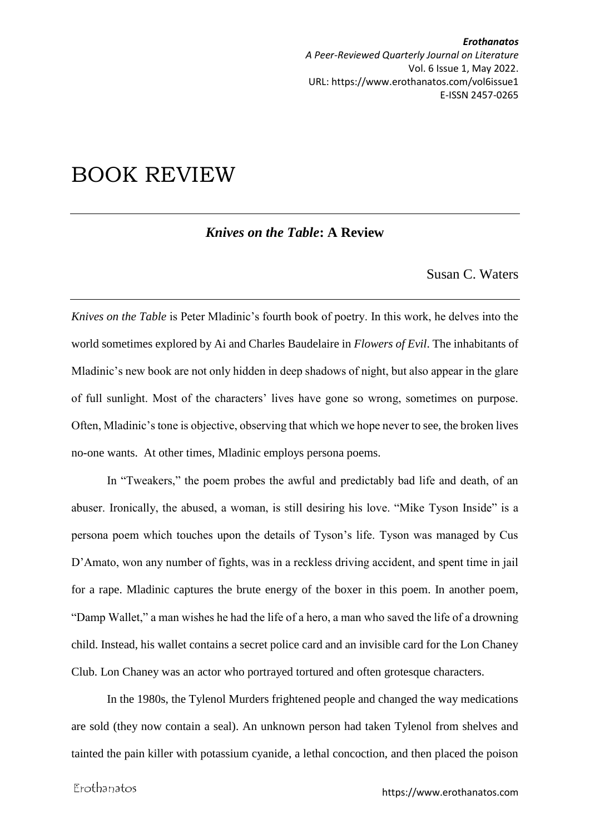*Erothanatos A Peer-Reviewed Quarterly Journal on Literature* Vol. 6 Issue 1, May 2022. URL: https://www.erothanatos.com/vol6issue1 E-ISSN 2457-0265

## BOOK REVIEW

## *Knives on the Table***: A Review**

Susan C. Waters

*Knives on the Table* is Peter Mladinic's fourth book of poetry. In this work, he delves into the world sometimes explored by Ai and Charles Baudelaire in *Flowers of Evil*. The inhabitants of Mladinic's new book are not only hidden in deep shadows of night, but also appear in the glare of full sunlight. Most of the characters' lives have gone so wrong, sometimes on purpose. Often, Mladinic's tone is objective, observing that which we hope never to see, the broken lives no-one wants. At other times, Mladinic employs persona poems.

In "Tweakers," the poem probes the awful and predictably bad life and death, of an abuser. Ironically, the abused, a woman, is still desiring his love. "Mike Tyson Inside" is a persona poem which touches upon the details of Tyson's life. Tyson was managed by Cus D'Amato, won any number of fights, was in a reckless driving accident, and spent time in jail for a rape. Mladinic captures the brute energy of the boxer in this poem. In another poem, "Damp Wallet," a man wishes he had the life of a hero, a man who saved the life of a drowning child. Instead, his wallet contains a secret police card and an invisible card for the Lon Chaney Club. Lon Chaney was an actor who portrayed tortured and often grotesque characters.

In the 1980s, the Tylenol Murders frightened people and changed the way medications are sold (they now contain a seal). An unknown person had taken Tylenol from shelves and tainted the pain killer with potassium cyanide, a lethal concoction, and then placed the poison